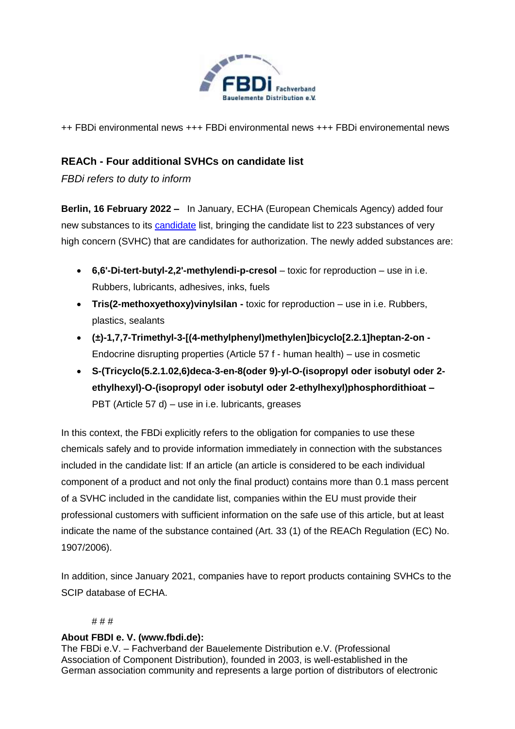

++ FBDi environmental news +++ FBDi environmental news +++ FBDi environemental news

# **REACh - Four additional SVHCs on candidate list**

*FBDi refers to duty to inform*

**Berlin, 16 February 2022 –** In January, ECHA (European Chemicals Agency) added four new substances to its [candidate](https://echa.europa.eu/-/four-hazardous-chemicals-added-to-the-candidate-list) list, bringing the candidate list to 223 substances of very high concern (SVHC) that are candidates for authorization. The newly added substances are:

- **6,6'-Di-tert-butyl-2,2'-methylendi-p-cresol** toxic for reproduction use in i.e. Rubbers, lubricants, adhesives, inks, fuels
- **Tris(2-methoxyethoxy)vinylsilan -** toxic for reproduction use in i.e. Rubbers, plastics, sealants
- **(±)-1,7,7-Trimethyl-3-[(4-methylphenyl)methylen]bicyclo[2.2.1]heptan-2-on -** Endocrine disrupting properties (Article 57 f - human health) – use in cosmetic
- **S-(Tricyclo(5.2.1.02,6)deca-3-en-8(oder 9)-yl-O-(isopropyl oder isobutyl oder 2 ethylhexyl)-O-(isopropyl oder isobutyl oder 2-ethylhexyl)phosphordithioat –** PBT (Article 57 d) – use in i.e. lubricants, greases

In this context, the FBDi explicitly refers to the obligation for companies to use these chemicals safely and to provide information immediately in connection with the substances included in the candidate list: If an article (an article is considered to be each individual component of a product and not only the final product) contains more than 0.1 mass percent of a SVHC included in the candidate list, companies within the EU must provide their professional customers with sufficient information on the safe use of this article, but at least indicate the name of the substance contained (Art. 33 (1) of the REACh Regulation (EC) No. 1907/2006).

In addition, since January 2021, companies have to report products containing SVHCs to the SCIP database of ECHA.

## # # #

## **About FBDI e. V. (www.fbdi.de):**

The FBDi e.V. – Fachverband der Bauelemente Distribution e.V. (Professional Association of Component Distribution), founded in 2003, is well-established in the German association community and represents a large portion of distributors of electronic